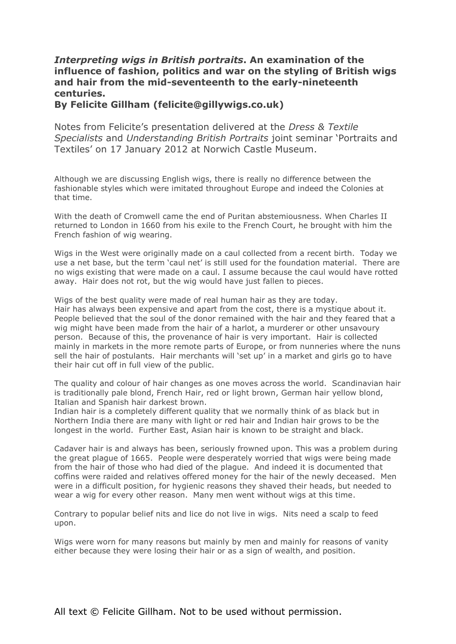## *Interpreting wigs in British portraits***. An examination of the influence of fashion, politics and war on the styling of British wigs and hair from the mid-seventeenth to the early-nineteenth centuries.**

**By Felicite Gillham (felicite@gillywigs.co.uk)**

Notes from Felicite's presentation delivered at the *Dress & Textile Specialists* and *Understanding British Portraits* joint seminar 'Portraits and Textiles' on 17 January 2012 at Norwich Castle Museum.

Although we are discussing English wigs, there is really no difference between the fashionable styles which were imitated throughout Europe and indeed the Colonies at that time.

With the death of Cromwell came the end of Puritan abstemiousness. When Charles II returned to London in 1660 from his exile to the French Court, he brought with him the French fashion of wig wearing.

Wigs in the West were originally made on a caul collected from a recent birth. Today we use a net base, but the term 'caul net' is still used for the foundation material. There are no wigs existing that were made on a caul. I assume because the caul would have rotted away. Hair does not rot, but the wig would have just fallen to pieces.

Wigs of the best quality were made of real human hair as they are today. Hair has always been expensive and apart from the cost, there is a mystique about it. People believed that the soul of the donor remained with the hair and they feared that a wig might have been made from the hair of a harlot, a murderer or other unsavoury person. Because of this, the provenance of hair is very important. Hair is collected mainly in markets in the more remote parts of Europe, or from nunneries where the nuns sell the hair of postulants. Hair merchants will 'set up' in a market and girls go to have their hair cut off in full view of the public.

The quality and colour of hair changes as one moves across the world. Scandinavian hair is traditionally pale blond, French Hair, red or light brown, German hair yellow blond, Italian and Spanish hair darkest brown.

Indian hair is a completely different quality that we normally think of as black but in Northern India there are many with light or red hair and Indian hair grows to be the longest in the world. Further East, Asian hair is known to be straight and black.

Cadaver hair is and always has been, seriously frowned upon. This was a problem during the great plague of 1665. People were desperately worried that wigs were being made from the hair of those who had died of the plague. And indeed it is documented that coffins were raided and relatives offered money for the hair of the newly deceased. Men were in a difficult position, for hygienic reasons they shaved their heads, but needed to wear a wig for every other reason. Many men went without wigs at this time.

Contrary to popular belief nits and lice do not live in wigs. Nits need a scalp to feed upon.

Wigs were worn for many reasons but mainly by men and mainly for reasons of vanity either because they were losing their hair or as a sign of wealth, and position.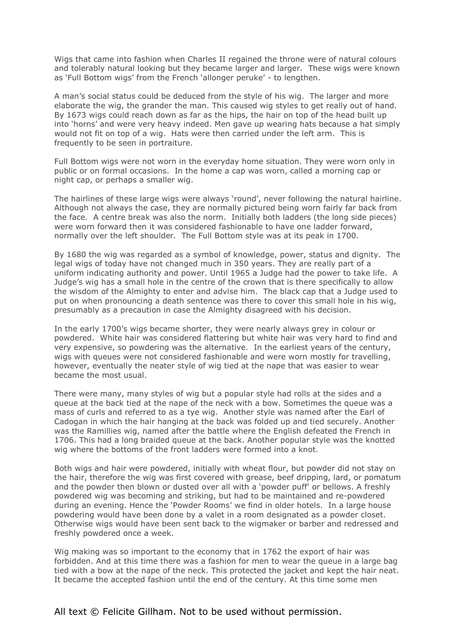Wigs that came into fashion when Charles II regained the throne were of natural colours and tolerably natural looking but they became larger and larger. These wigs were known as 'Full Bottom wigs' from the French 'allonger peruke' - to lengthen.

A man's social status could be deduced from the style of his wig. The larger and more elaborate the wig, the grander the man. This caused wig styles to get really out of hand. By 1673 wigs could reach down as far as the hips, the hair on top of the head built up into 'horns' and were very heavy indeed. Men gave up wearing hats because a hat simply would not fit on top of a wig. Hats were then carried under the left arm. This is frequently to be seen in portraiture.

Full Bottom wigs were not worn in the everyday home situation. They were worn only in public or on formal occasions. In the home a cap was worn, called a morning cap or night cap, or perhaps a smaller wig.

The hairlines of these large wigs were always 'round', never following the natural hairline. Although not always the case, they are normally pictured being worn fairly far back from the face. A centre break was also the norm. Initially both ladders (the long side pieces) were worn forward then it was considered fashionable to have one ladder forward, normally over the left shoulder. The Full Bottom style was at its peak in 1700.

By 1680 the wig was regarded as a symbol of knowledge, power, status and dignity. The legal wigs of today have not changed much in 350 years. They are really part of a uniform indicating authority and power. Until 1965 a Judge had the power to take life. A Judge's wig has a small hole in the centre of the crown that is there specifically to allow the wisdom of the Almighty to enter and advise him. The black cap that a Judge used to put on when pronouncing a death sentence was there to cover this small hole in his wig, presumably as a precaution in case the Almighty disagreed with his decision.

In the early 1700's wigs became shorter, they were nearly always grey in colour or powdered. White hair was considered flattering but white hair was very hard to find and very expensive, so powdering was the alternative. In the earliest years of the century, wigs with queues were not considered fashionable and were worn mostly for travelling, however, eventually the neater style of wig tied at the nape that was easier to wear became the most usual.

There were many, many styles of wig but a popular style had rolls at the sides and a queue at the back tied at the nape of the neck with a bow. Sometimes the queue was a mass of curls and referred to as a tye wig. Another style was named after the Earl of Cadogan in which the hair hanging at the back was folded up and tied securely. Another was the Ramillies wig, named after the battle where the English defeated the French in 1706. This had a long braided queue at the back. Another popular style was the knotted wig where the bottoms of the front ladders were formed into a knot.

Both wigs and hair were powdered, initially with wheat flour, but powder did not stay on the hair, therefore the wig was first covered with grease, beef dripping, lard, or pomatum and the powder then blown or dusted over all with a 'powder puff' or bellows. A freshly powdered wig was becoming and striking, but had to be maintained and re-powdered during an evening. Hence the 'Powder Rooms' we find in older hotels. In a large house powdering would have been done by a valet in a room designated as a powder closet. Otherwise wigs would have been sent back to the wigmaker or barber and redressed and freshly powdered once a week.

Wig making was so important to the economy that in 1762 the export of hair was forbidden. And at this time there was a fashion for men to wear the queue in a large bag tied with a bow at the nape of the neck. This protected the jacket and kept the hair neat. It became the accepted fashion until the end of the century. At this time some men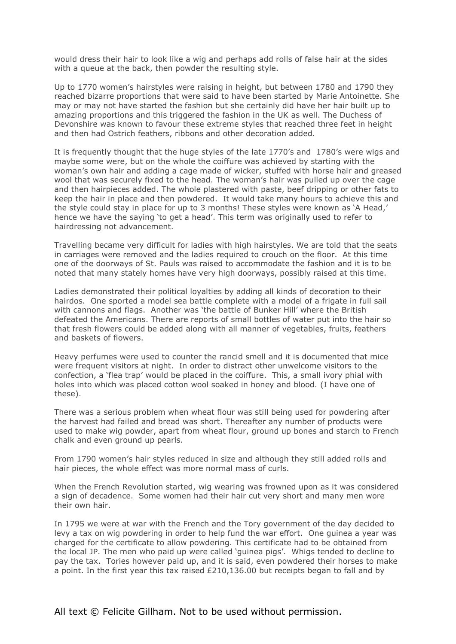would dress their hair to look like a wig and perhaps add rolls of false hair at the sides with a queue at the back, then powder the resulting style.

Up to 1770 women's hairstyles were raising in height, but between 1780 and 1790 they reached bizarre proportions that were said to have been started by Marie Antoinette. She may or may not have started the fashion but she certainly did have her hair built up to amazing proportions and this triggered the fashion in the UK as well. The Duchess of Devonshire was known to favour these extreme styles that reached three feet in height and then had Ostrich feathers, ribbons and other decoration added.

It is frequently thought that the huge styles of the late 1770's and 1780's were wigs and maybe some were, but on the whole the coiffure was achieved by starting with the woman's own hair and adding a cage made of wicker, stuffed with horse hair and greased wool that was securely fixed to the head. The woman's hair was pulled up over the cage and then hairpieces added. The whole plastered with paste, beef dripping or other fats to keep the hair in place and then powdered. It would take many hours to achieve this and the style could stay in place for up to 3 months! These styles were known as 'A Head,' hence we have the saying 'to get a head'. This term was originally used to refer to hairdressing not advancement.

Travelling became very difficult for ladies with high hairstyles. We are told that the seats in carriages were removed and the ladies required to crouch on the floor. At this time one of the doorways of St. Pauls was raised to accommodate the fashion and it is to be noted that many stately homes have very high doorways, possibly raised at this time.

Ladies demonstrated their political loyalties by adding all kinds of decoration to their hairdos. One sported a model sea battle complete with a model of a frigate in full sail with cannons and flags. Another was 'the battle of Bunker Hill' where the British defeated the Americans. There are reports of small bottles of water put into the hair so that fresh flowers could be added along with all manner of vegetables, fruits, feathers and baskets of flowers.

Heavy perfumes were used to counter the rancid smell and it is documented that mice were frequent visitors at night. In order to distract other unwelcome visitors to the confection, a 'flea trap' would be placed in the coiffure. This, a small ivory phial with holes into which was placed cotton wool soaked in honey and blood. (I have one of these).

There was a serious problem when wheat flour was still being used for powdering after the harvest had failed and bread was short. Thereafter any number of products were used to make wig powder, apart from wheat flour, ground up bones and starch to French chalk and even ground up pearls.

From 1790 women's hair styles reduced in size and although they still added rolls and hair pieces, the whole effect was more normal mass of curls.

When the French Revolution started, wig wearing was frowned upon as it was considered a sign of decadence. Some women had their hair cut very short and many men wore their own hair.

In 1795 we were at war with the French and the Tory government of the day decided to levy a tax on wig powdering in order to help fund the war effort. One guinea a year was charged for the certificate to allow powdering. This certificate had to be obtained from the local JP. The men who paid up were called 'guinea pigs'. Whigs tended to decline to pay the tax. Tories however paid up, and it is said, even powdered their horses to make a point. In the first year this tax raised £210,136.00 but receipts began to fall and by